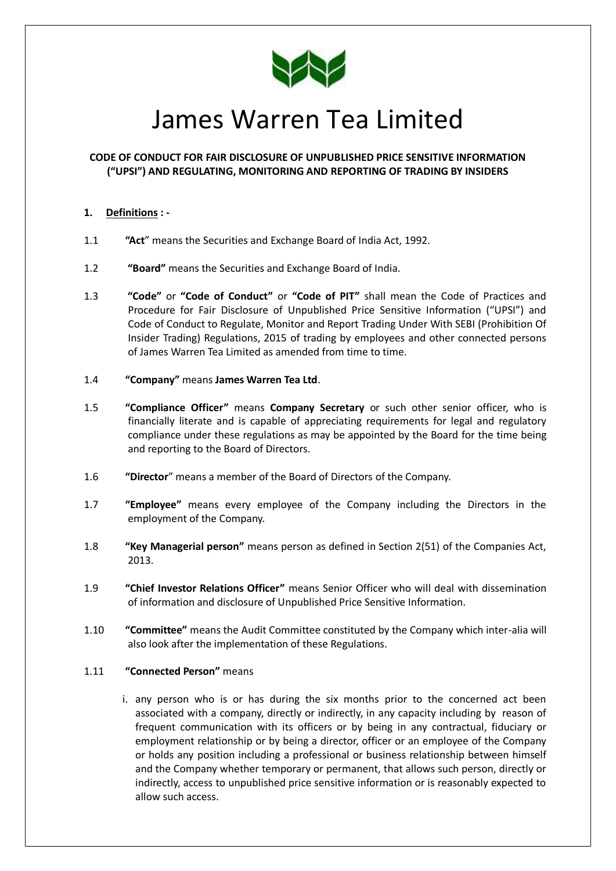

# James Warren Tea Limited

# **CODE OF CONDUCT FOR FAIR DISCLOSURE OF UNPUBLISHED PRICE SENSITIVE INFORMATION ("UPSI") AND REGULATING, MONITORING AND REPORTING OF TRADING BY INSIDERS**

# **1. Definitions : -**

- 1.1 **"Act**" means the Securities and Exchange Board of India Act, 1992.
- 1.2 **"Board"** means the Securities and Exchange Board of India.
- 1.3 **"Code"** or **"Code of Conduct"** or **"Code of PIT"** shall mean the Code of Practices and Procedure for Fair Disclosure of Unpublished Price Sensitive Information ("UPSI") and Code of Conduct to Regulate, Monitor and Report Trading Under With SEBI (Prohibition Of Insider Trading) Regulations, 2015 of trading by employees and other connected persons of James Warren Tea Limited as amended from time to time.
- 1.4 **"Company"** means **James Warren Tea Ltd**.
- 1.5 **"Compliance Officer"** means **Company Secretary** or such other senior officer, who is financially literate and is capable of appreciating requirements for legal and regulatory compliance under these regulations as may be appointed by the Board for the time being and reporting to the Board of Directors.
- 1.6 **"Director**" means a member of the Board of Directors of the Company.
- 1.7 **"Employee"** means every employee of the Company including the Directors in the employment of the Company.
- 1.8 **"Key Managerial person"** means person as defined in Section 2(51) of the Companies Act, 2013.
- 1.9 **"Chief Investor Relations Officer"** means Senior Officer who will deal with dissemination of information and disclosure of Unpublished Price Sensitive Information.
- 1.10 **"Committee"** means the Audit Committee constituted by the Company which inter-alia will also look after the implementation of these Regulations.

## 1.11 **"Connected Person"** means

i. any person who is or has during the six months prior to the concerned act been associated with a company, directly or indirectly, in any capacity including by reason of frequent communication with its officers or by being in any contractual, fiduciary or employment relationship or by being a director, officer or an employee of the Company or holds any position including a professional or business relationship between himself and the Company whether temporary or permanent, that allows such person, directly or indirectly, access to unpublished price sensitive information or is reasonably expected to allow such access.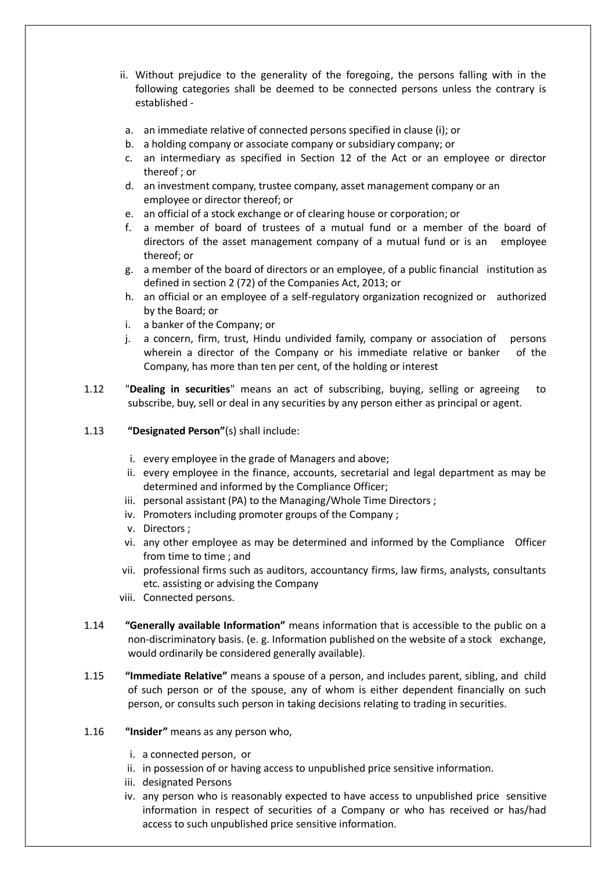- ii. Without prejudice to the generality of the foregoing, the persons falling with in the following categories shall be deemed to be connected persons unless the contrary is established -
- a. an immediate relative of connected persons specified in clause (i); or
- b. a holding company or associate company or subsidiary company; or
- c. an intermediary as specified in Section 12 of the Act or an employee or director thereof ; or
- d. an investment company, trustee company, asset management company or an employee or director thereof; or
- e. an official of a stock exchange or of clearing house or corporation; or
- f. a member of board of trustees of a mutual fund or a member of the board of directors of the asset management company of a mutual fund or is an employee thereof; or
- g. a member of the board of directors or an employee, of a public financial institution as defined in section 2 (72) of the Companies Act, 2013; or
- h. an official or an employee of a self-regulatory organization recognized or authorized by the Board; or
- i. a banker of the Company; or
- j. a concern, firm, trust, Hindu undivided family, company or association of persons wherein a director of the Company or his immediate relative or banker of the Company, has more than ten per cent, of the holding or interest
- 1.12 "**Dealing in securities**" means an act of subscribing, buying, selling or agreeing to subscribe, buy, sell or deal in any securities by any person either as principal or agent.
- 1.13 **"Designated Person"**(s) shall include:
	- i. every employee in the grade of Managers and above;
	- ii. every employee in the finance, accounts, secretarial and legal department as may be determined and informed by the Compliance Officer;
	- iii. personal assistant (PA) to the Managing/Whole Time Directors ;
	- iv. Promoters including promoter groups of the Company ;
	- v. Directors ;
	- vi. any other employee as may be determined and informed by the Compliance Officer from time to time ; and
	- vii. professional firms such as auditors, accountancy firms, law firms, analysts, consultants etc. assisting or advising the Company
	- viii. Connected persons.
- 1.14 **"Generally available Information"** means information that is accessible to the public on a non-discriminatory basis. (e. g. Information published on the website of a stock exchange, would ordinarily be considered generally available).
- 1.15 **"Immediate Relative"** means a spouse of a person, and includes parent, sibling, and child of such person or of the spouse, any of whom is either dependent financially on such person, or consults such person in taking decisions relating to trading in securities.
- 1.16 **"Insider"** means as any person who,
	- i. a connected person, or
	- ii. in possession of or having access to unpublished price sensitive information.
	- iii. designated Persons
	- iv. any person who is reasonably expected to have access to unpublished price sensitive information in respect of securities of a Company or who has received or has/had access to such unpublished price sensitive information.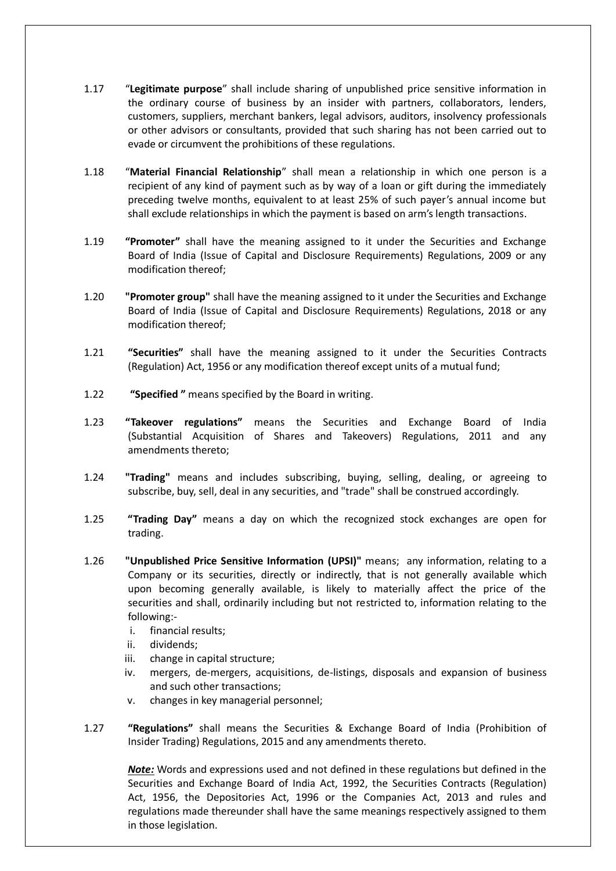- 1.17 "**Legitimate purpose**" shall include sharing of unpublished price sensitive information in the ordinary course of business by an insider with partners, collaborators, lenders, customers, suppliers, merchant bankers, legal advisors, auditors, insolvency professionals or other advisors or consultants, provided that such sharing has not been carried out to evade or circumvent the prohibitions of these regulations.
- 1.18 "**Material Financial Relationship**" shall mean a relationship in which one person is a recipient of any kind of payment such as by way of a loan or gift during the immediately preceding twelve months, equivalent to at least 25% of such payer's annual income but shall exclude relationships in which the payment is based on arm's length transactions.
- 1.19 **"Promoter"** shall have the meaning assigned to it under the Securities and Exchange Board of India (Issue of Capital and Disclosure Requirements) Regulations, 2009 or any modification thereof;
- 1.20 **"Promoter group"** shall have the meaning assigned to it under the Securities and Exchange Board of India (Issue of Capital and Disclosure Requirements) Regulations, 2018 or any modification thereof;
- 1.21 **"Securities"** shall have the meaning assigned to it under the Securities Contracts (Regulation) Act, 1956 or any modification thereof except units of a mutual fund;
- 1.22 **"Specified "** means specified by the Board in writing.
- 1.23 **"Takeover regulations"** means the Securities and Exchange Board of India (Substantial Acquisition of Shares and Takeovers) Regulations, 2011 and any amendments thereto;
- 1.24 **"Trading"** means and includes subscribing, buying, selling, dealing, or agreeing to subscribe, buy, sell, deal in any securities, and "trade" shall be construed accordingly.
- 1.25 **"Trading Day"** means a day on which the recognized stock exchanges are open for trading.
- 1.26 **"Unpublished Price Sensitive Information (UPSI)"** means; any information, relating to a Company or its securities, directly or indirectly, that is not generally available which upon becoming generally available, is likely to materially affect the price of the securities and shall, ordinarily including but not restricted to, information relating to the following:
	- i. financial results;
	- ii. dividends;
	- iii. change in capital structure;
	- iv. mergers, de-mergers, acquisitions, de-listings, disposals and expansion of business and such other transactions;
	- v. changes in key managerial personnel;
- 1.27 **"Regulations"** shall means the Securities & Exchange Board of India (Prohibition of Insider Trading) Regulations, 2015 and any amendments thereto.

*Note:* Words and expressions used and not defined in these regulations but defined in the Securities and Exchange Board of India Act, 1992, the Securities Contracts (Regulation) Act, 1956, the Depositories Act, 1996 or the Companies Act, 2013 and rules and regulations made thereunder shall have the same meanings respectively assigned to them in those legislation.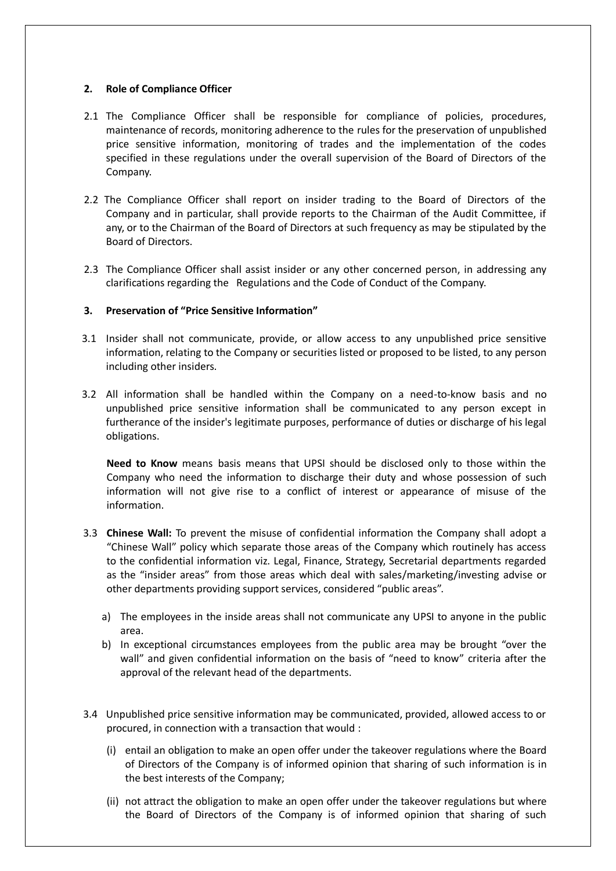## **2. Role of Compliance Officer**

- 2.1 The Compliance Officer shall be responsible for compliance of policies, procedures, maintenance of records, monitoring adherence to the rules for the preservation of unpublished price sensitive information, monitoring of trades and the implementation of the codes specified in these regulations under the overall supervision of the Board of Directors of the Company.
- 2.2 The Compliance Officer shall report on insider trading to the Board of Directors of the Company and in particular, shall provide reports to the Chairman of the Audit Committee, if any, or to the Chairman of the Board of Directors at such frequency as may be stipulated by the Board of Directors.
- 2.3 The Compliance Officer shall assist insider or any other concerned person, in addressing any clarifications regarding the Regulations and the Code of Conduct of the Company.

## **3. Preservation of "Price Sensitive Information"**

- 3.1 Insider shall not communicate, provide, or allow access to any unpublished price sensitive information, relating to the Company or securities listed or proposed to be listed, to any person including other insiders.
- 3.2 All information shall be handled within the Company on a need-to-know basis and no unpublished price sensitive information shall be communicated to any person except in furtherance of the insider's legitimate purposes, performance of duties or discharge of his legal obligations.

**Need to Know** means basis means that UPSI should be disclosed only to those within the Company who need the information to discharge their duty and whose possession of such information will not give rise to a conflict of interest or appearance of misuse of the information.

- 3.3 **Chinese Wall:** To prevent the misuse of confidential information the Company shall adopt a "Chinese Wall" policy which separate those areas of the Company which routinely has access to the confidential information viz. Legal, Finance, Strategy, Secretarial departments regarded as the "insider areas" from those areas which deal with sales/marketing/investing advise or other departments providing support services, considered "public areas".
	- a) The employees in the inside areas shall not communicate any UPSI to anyone in the public area.
	- b) In exceptional circumstances employees from the public area may be brought "over the wall" and given confidential information on the basis of "need to know" criteria after the approval of the relevant head of the departments.
- 3.4 Unpublished price sensitive information may be communicated, provided, allowed access to or procured, in connection with a transaction that would :
	- (i) entail an obligation to make an open offer under the takeover regulations where the Board of Directors of the Company is of informed opinion that sharing of such information is in the best interests of the Company;
	- (ii) not attract the obligation to make an open offer under the takeover regulations but where the Board of Directors of the Company is of informed opinion that sharing of such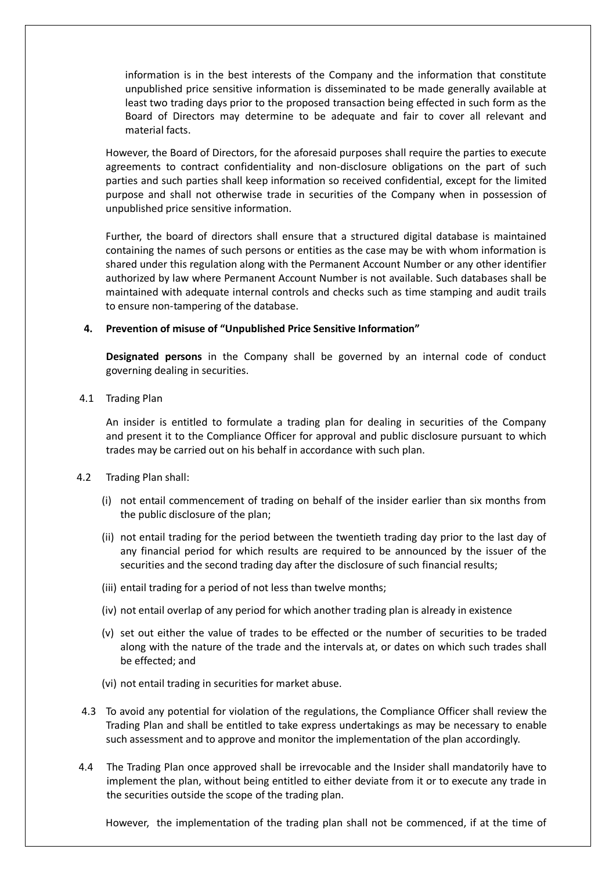information is in the best interests of the Company and the information that constitute unpublished price sensitive information is disseminated to be made generally available at least two trading days prior to the proposed transaction being effected in such form as the Board of Directors may determine to be adequate and fair to cover all relevant and material facts.

However, the Board of Directors, for the aforesaid purposes shall require the parties to execute agreements to contract confidentiality and non-disclosure obligations on the part of such parties and such parties shall keep information so received confidential, except for the limited purpose and shall not otherwise trade in securities of the Company when in possession of unpublished price sensitive information.

Further, the board of directors shall ensure that a structured digital database is maintained containing the names of such persons or entities as the case may be with whom information is shared under this regulation along with the Permanent Account Number or any other identifier authorized by law where Permanent Account Number is not available. Such databases shall be maintained with adequate internal controls and checks such as time stamping and audit trails to ensure non-tampering of the database.

## **4. Prevention of misuse of "Unpublished Price Sensitive Information"**

**Designated persons** in the Company shall be governed by an internal code of conduct governing dealing in securities.

4.1 Trading Plan

An insider is entitled to formulate a trading plan for dealing in securities of the Company and present it to the Compliance Officer for approval and public disclosure pursuant to which trades may be carried out on his behalf in accordance with such plan.

- 4.2 Trading Plan shall:
	- (i) not entail commencement of trading on behalf of the insider earlier than six months from the public disclosure of the plan;
	- (ii) not entail trading for the period between the twentieth trading day prior to the last day of any financial period for which results are required to be announced by the issuer of the securities and the second trading day after the disclosure of such financial results;
	- (iii) entail trading for a period of not less than twelve months;
	- (iv) not entail overlap of any period for which another trading plan is already in existence
	- (v) set out either the value of trades to be effected or the number of securities to be traded along with the nature of the trade and the intervals at, or dates on which such trades shall be effected; and
	- (vi) not entail trading in securities for market abuse.
- 4.3 To avoid any potential for violation of the regulations, the Compliance Officer shall review the Trading Plan and shall be entitled to take express undertakings as may be necessary to enable such assessment and to approve and monitor the implementation of the plan accordingly.
- 4.4 The Trading Plan once approved shall be irrevocable and the Insider shall mandatorily have to implement the plan, without being entitled to either deviate from it or to execute any trade in the securities outside the scope of the trading plan.

However, the implementation of the trading plan shall not be commenced, if at the time of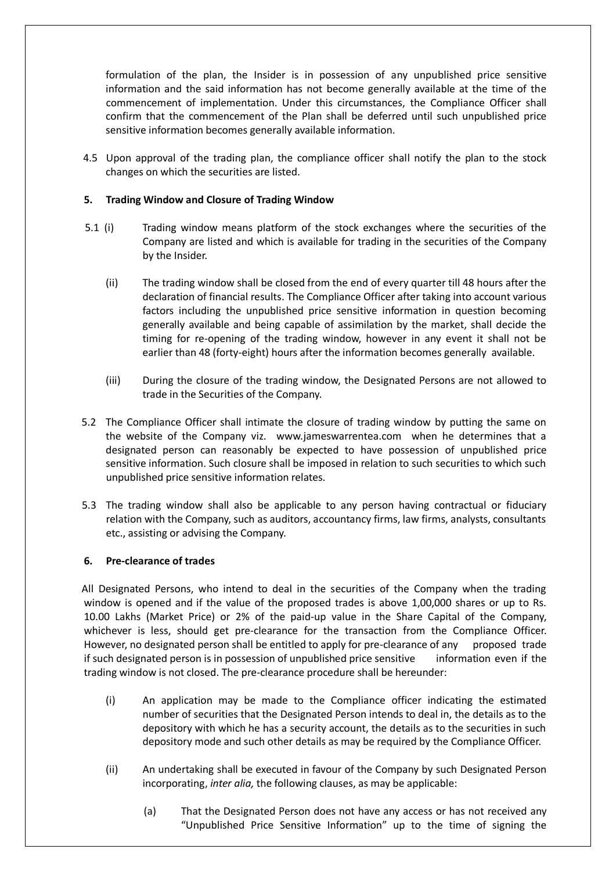formulation of the plan, the Insider is in possession of any unpublished price sensitive information and the said information has not become generally available at the time of the commencement of implementation. Under this circumstances, the Compliance Officer shall confirm that the commencement of the Plan shall be deferred until such unpublished price sensitive information becomes generally available information.

4.5 Upon approval of the trading plan, the compliance officer shall notify the plan to the stock changes on which the securities are listed.

## **5. Trading Window and Closure of Trading Window**

- 5.1 (i) Trading window means platform of the stock exchanges where the securities of the Company are listed and which is available for trading in the securities of the Company by the Insider.
	- (ii) The trading window shall be closed from the end of every quarter till 48 hours after the declaration of financial results. The Compliance Officer after taking into account various factors including the unpublished price sensitive information in question becoming generally available and being capable of assimilation by the market, shall decide the timing for re-opening of the trading window, however in any event it shall not be earlier than 48 (forty-eight) hours after the information becomes generally available.
	- (iii) During the closure of the trading window, the Designated Persons are not allowed to trade in the Securities of the Company.
- 5.2 The Compliance Officer shall intimate the closure of trading window by putting the same on the website of the Company viz. www.jameswarrentea.com when he determines that a designated person can reasonably be expected to have possession of unpublished price sensitive information. Such closure shall be imposed in relation to such securities to which such unpublished price sensitive information relates.
- 5.3 The trading window shall also be applicable to any person having contractual or fiduciary relation with the Company, such as auditors, accountancy firms, law firms, analysts, consultants etc., assisting or advising the Company.

## **6. Pre-clearance of trades**

All Designated Persons, who intend to deal in the securities of the Company when the trading window is opened and if the value of the proposed trades is above 1,00,000 shares or up to Rs. 10.00 Lakhs (Market Price) or 2% of the paid-up value in the Share Capital of the Company, whichever is less, should get pre-clearance for the transaction from the Compliance Officer. However, no designated person shall be entitled to apply for pre-clearance of any proposed trade if such designated person is in possession of unpublished price sensitive information even if the trading window is not closed. The pre-clearance procedure shall be hereunder:

- (i) An application may be made to the Compliance officer indicating the estimated number of securities that the Designated Person intends to deal in, the details as to the depository with which he has a security account, the details as to the securities in such depository mode and such other details as may be required by the Compliance Officer.
- (ii) An undertaking shall be executed in favour of the Company by such Designated Person incorporating, *inter alia,* the following clauses, as may be applicable:
	- (a) That the Designated Person does not have any access or has not received any "Unpublished Price Sensitive Information" up to the time of signing the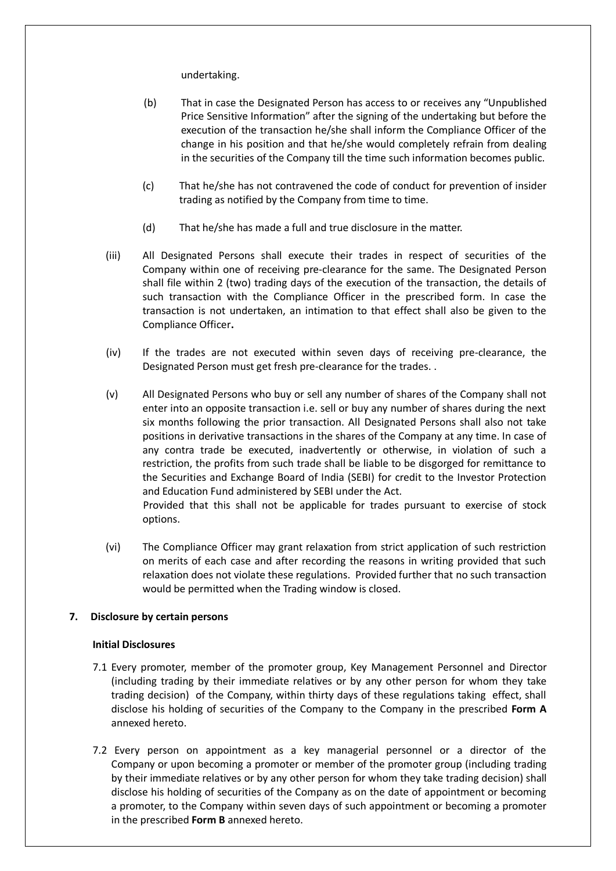undertaking.

- (b) That in case the Designated Person has access to or receives any "Unpublished Price Sensitive Information" after the signing of the undertaking but before the execution of the transaction he/she shall inform the Compliance Officer of the change in his position and that he/she would completely refrain from dealing in the securities of the Company till the time such information becomes public.
- (c) That he/she has not contravened the code of conduct for prevention of insider trading as notified by the Company from time to time.
- (d) That he/she has made a full and true disclosure in the matter.
- (iii) All Designated Persons shall execute their trades in respect of securities of the Company within one of receiving pre-clearance for the same. The Designated Person shall file within 2 (two) trading days of the execution of the transaction, the details of such transaction with the Compliance Officer in the prescribed form. In case the transaction is not undertaken, an intimation to that effect shall also be given to the Compliance Officer**.**
- (iv) If the trades are not executed within seven days of receiving pre-clearance, the Designated Person must get fresh pre-clearance for the trades. .
- (v) All Designated Persons who buy or sell any number of shares of the Company shall not enter into an opposite transaction i.e. sell or buy any number of shares during the next six months following the prior transaction. All Designated Persons shall also not take positions in derivative transactions in the shares of the Company at any time. In case of any contra trade be executed, inadvertently or otherwise, in violation of such a restriction, the profits from such trade shall be liable to be disgorged for remittance to the Securities and Exchange Board of India (SEBI) for credit to the Investor Protection and Education Fund administered by SEBI under the Act. Provided that this shall not be applicable for trades pursuant to exercise of stock

options.

(vi) The Compliance Officer may grant relaxation from strict application of such restriction on merits of each case and after recording the reasons in writing provided that such relaxation does not violate these regulations. Provided further that no such transaction would be permitted when the Trading window is closed.

# **7. Disclosure by certain persons**

## **Initial Disclosures**

- 7.1 Every promoter, member of the promoter group, Key Management Personnel and Director (including trading by their immediate relatives or by any other person for whom they take trading decision) of the Company, within thirty days of these regulations taking effect, shall disclose his holding of securities of the Company to the Company in the prescribed **Form A**  annexed hereto.
- 7.2 Every person on appointment as a key managerial personnel or a director of the Company or upon becoming a promoter or member of the promoter group (including trading by their immediate relatives or by any other person for whom they take trading decision) shall disclose his holding of securities of the Company as on the date of appointment or becoming a promoter, to the Company within seven days of such appointment or becoming a promoter in the prescribed **Form B** annexed hereto.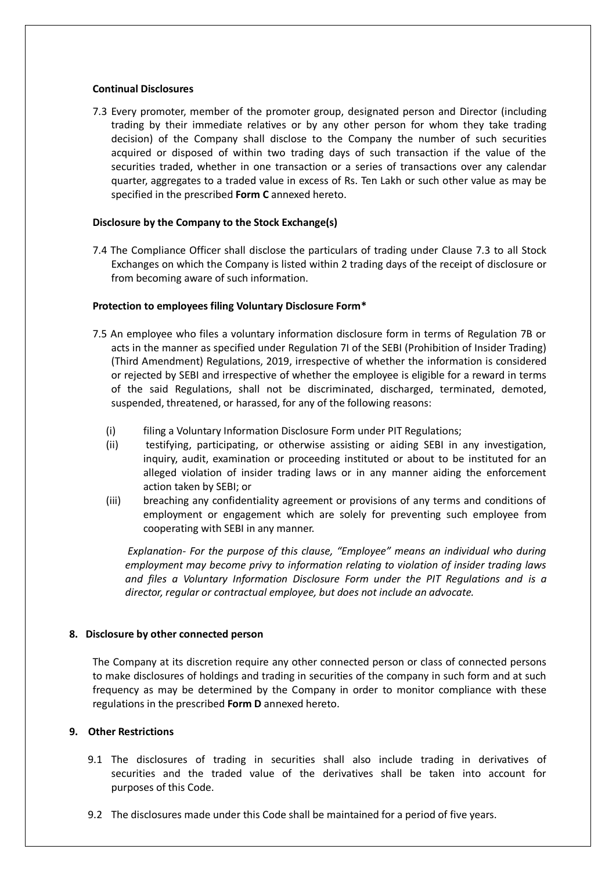#### **Continual Disclosures**

7.3 Every promoter, member of the promoter group, designated person and Director (including trading by their immediate relatives or by any other person for whom they take trading decision) of the Company shall disclose to the Company the number of such securities acquired or disposed of within two trading days of such transaction if the value of the securities traded, whether in one transaction or a series of transactions over any calendar quarter, aggregates to a traded value in excess of Rs. Ten Lakh or such other value as may be specified in the prescribed **Form C** annexed hereto.

## **Disclosure by the Company to the Stock Exchange(s)**

7.4 The Compliance Officer shall disclose the particulars of trading under Clause 7.3 to all Stock Exchanges on which the Company is listed within 2 trading days of the receipt of disclosure or from becoming aware of such information.

## **Protection to employees filing Voluntary Disclosure Form\***

- 7.5 An employee who files a voluntary information disclosure form in terms of Regulation 7B or acts in the manner as specified under Regulation 7I of the SEBI (Prohibition of Insider Trading) (Third Amendment) Regulations, 2019, irrespective of whether the information is considered or rejected by SEBI and irrespective of whether the employee is eligible for a reward in terms of the said Regulations, shall not be discriminated, discharged, terminated, demoted, suspended, threatened, or harassed, for any of the following reasons:
	- (i) filing a Voluntary Information Disclosure Form under PIT Regulations;
	- (ii) testifying, participating, or otherwise assisting or aiding SEBI in any investigation, inquiry, audit, examination or proceeding instituted or about to be instituted for an alleged violation of insider trading laws or in any manner aiding the enforcement action taken by SEBI; or
	- (iii) breaching any confidentiality agreement or provisions of any terms and conditions of employment or engagement which are solely for preventing such employee from cooperating with SEBI in any manner.

*Explanation- For the purpose of this clause, "Employee" means an individual who during employment may become privy to information relating to violation of insider trading laws and files a Voluntary Information Disclosure Form under the PIT Regulations and is a director, regular or contractual employee, but does not include an advocate.*

## **8. Disclosure by other connected person**

The Company at its discretion require any other connected person or class of connected persons to make disclosures of holdings and trading in securities of the company in such form and at such frequency as may be determined by the Company in order to monitor compliance with these regulations in the prescribed **Form D** annexed hereto.

## **9. Other Restrictions**

- 9.1 The disclosures of trading in securities shall also include trading in derivatives of securities and the traded value of the derivatives shall be taken into account for purposes of this Code.
- 9.2 The disclosures made under this Code shall be maintained for a period of five years.